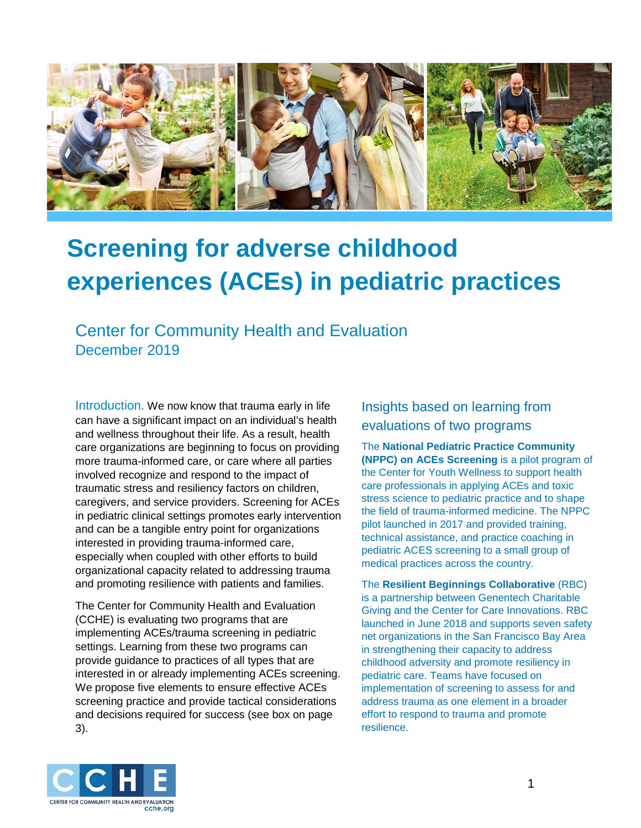

# **Screening for adverse childhood experiences (ACEs) in pediatric practices**

Center for Community Health and Evaluation December 2019

Introduction. We now know that trauma early in life can have a significant impact on an individual's health and wellness throughout their life. As a result, health care organizations are beginning to focus on providing more trauma-informed care, or care where all parties involved recognize and respond to the impact of traumatic stress and resiliency factors on children, caregivers, and service providers. Screening for ACEs in pediatric clinical settings promotes early intervention and can be a tangible entry point for organizations interested in providing trauma-informed care, especially when coupled with other efforts to build organizational capacity related to addressing trauma and promoting resilience with patients and families.

The Center for Community Health and Evaluation (CCHE) is evaluating two programs that are implementing ACEs/trauma screening in pediatric settings. Learning from these two programs can provide guidance to practices of all types that are interested in or already implementing ACEs screening. We propose five elements to ensure effective ACEs screening practice and provide tactical considerations and decisions required for success (see box on page 3).

#### Insights based on learning from evaluations of two programs

The **National Pediatric Practice Community (NPPC) on ACEs Screening** is a pilot program of the Center for Youth Wellness to support health care professionals in applying ACEs and toxic stress science to pediatric practice and to shape the field of trauma-informed medicine. The NPPC pilot launched in 2017 and provided training, technical assistance, and practice coaching in pediatric ACES screening to a small group of medical practices across the country.

The **Resilient Beginnings Collaborative** (RBC) is a partnership between Genentech Charitable Giving and the Center for Care Innovations. RBC launched in June 2018 and supports seven safety net organizations in the San Francisco Bay Area in strengthening their capacity to address childhood adversity and promote resiliency in pediatric care. Teams have focused on implementation of screening to assess for and address trauma as one element in a broader effort to respond to trauma and promote resilience.

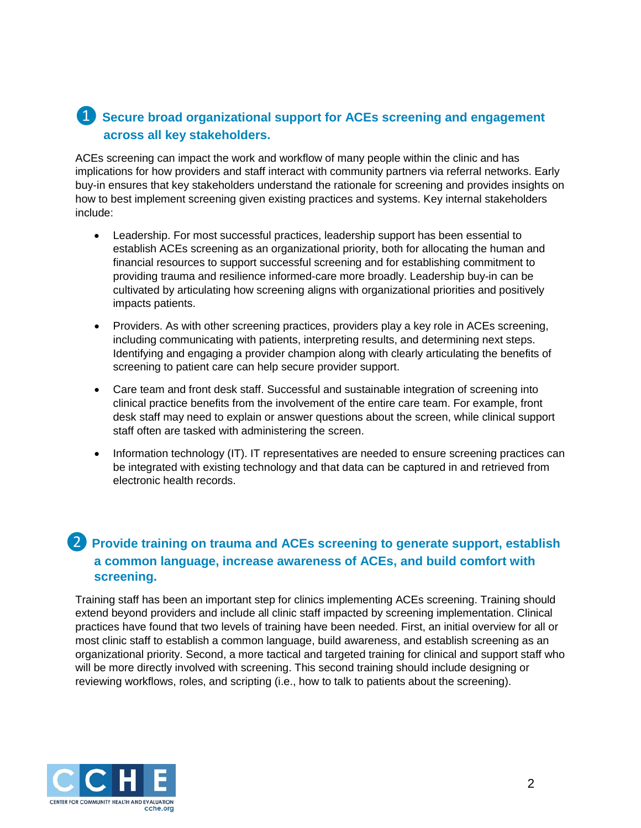#### ❶ **Secure broad organizational support for ACEs screening and engagement across all key stakeholders.**

ACEs screening can impact the work and workflow of many people within the clinic and has implications for how providers and staff interact with community partners via referral networks. Early buy-in ensures that key stakeholders understand the rationale for screening and provides insights on how to best implement screening given existing practices and systems. Key internal stakeholders include:

- Leadership. For most successful practices, leadership support has been essential to establish ACEs screening as an organizational priority, both for allocating the human and financial resources to support successful screening and for establishing commitment to providing trauma and resilience informed-care more broadly. Leadership buy-in can be cultivated by articulating how screening aligns with organizational priorities and positively impacts patients.
- Providers. As with other screening practices, providers play a key role in ACEs screening, including communicating with patients, interpreting results, and determining next steps. Identifying and engaging a provider champion along with clearly articulating the benefits of screening to patient care can help secure provider support.
- Care team and front desk staff. Successful and sustainable integration of screening into clinical practice benefits from the involvement of the entire care team. For example, front desk staff may need to explain or answer questions about the screen, while clinical support staff often are tasked with administering the screen.
- Information technology (IT). IT representatives are needed to ensure screening practices can be integrated with existing technology and that data can be captured in and retrieved from electronic health records.

### ❷ **Provide training on trauma and ACEs screening to generate support, establish a common language, increase awareness of ACEs, and build comfort with screening.**

Training staff has been an important step for clinics implementing ACEs screening. Training should extend beyond providers and include all clinic staff impacted by screening implementation. Clinical practices have found that two levels of training have been needed. First, an initial overview for all or most clinic staff to establish a common language, build awareness, and establish screening as an organizational priority. Second, a more tactical and targeted training for clinical and support staff who will be more directly involved with screening. This second training should include designing or reviewing workflows, roles, and scripting (i.e., how to talk to patients about the screening).

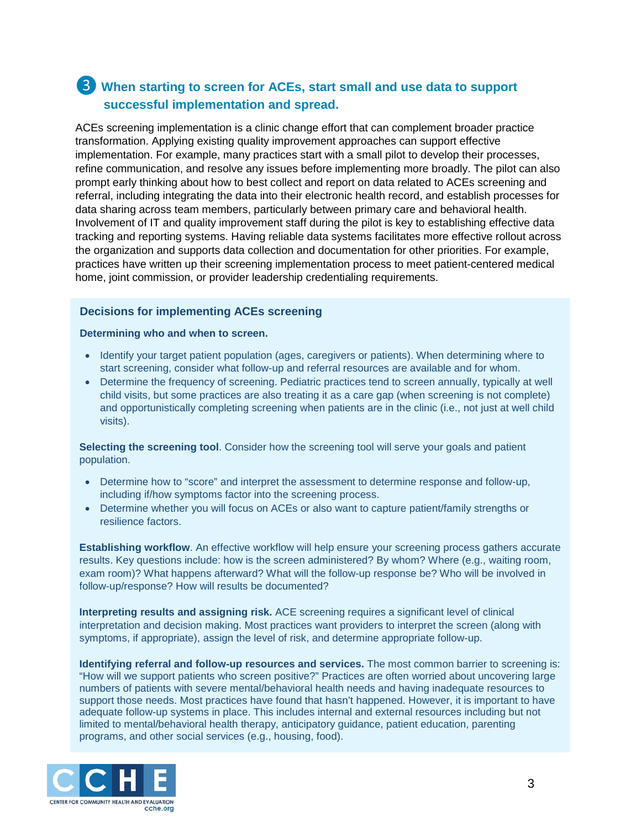### ❸ **When starting to screen for ACEs, start small and use data to support successful implementation and spread.**

ACEs screening implementation is a clinic change effort that can complement broader practice transformation. Applying existing quality improvement approaches can support effective implementation. For example, many practices start with a small pilot to develop their processes, refine communication, and resolve any issues before implementing more broadly. The pilot can also prompt early thinking about how to best collect and report on data related to ACEs screening and referral, including integrating the data into their electronic health record, and establish processes for data sharing across team members, particularly between primary care and behavioral health. Involvement of IT and quality improvement staff during the pilot is key to establishing effective data tracking and reporting systems. Having reliable data systems facilitates more effective rollout across the organization and supports data collection and documentation for other priorities. For example, practices have written up their screening implementation process to meet patient-centered medical home, joint commission, or provider leadership credentialing requirements.

#### **Decisions for implementing ACEs screening**

#### **Determining who and when to screen.**

- Identify your target patient population (ages, caregivers or patients). When determining where to start screening, consider what follow-up and referral resources are available and for whom.
- Determine the frequency of screening. Pediatric practices tend to screen annually, typically at well child visits, but some practices are also treating it as a care gap (when screening is not complete) and opportunistically completing screening when patients are in the clinic (i.e., not just at well child visits).

**Selecting the screening tool**. Consider how the screening tool will serve your goals and patient population.

- Determine how to "score" and interpret the assessment to determine response and follow-up, including if/how symptoms factor into the screening process.
- Determine whether you will focus on ACEs or also want to capture patient/family strengths or resilience factors.

**Establishing workflow**. An effective workflow will help ensure your screening process gathers accurate results. Key questions include: how is the screen administered? By whom? Where (e.g., waiting room, exam room)? What happens afterward? What will the follow-up response be? Who will be involved in follow-up/response? How will results be documented?

**Interpreting results and assigning risk.** ACE screening requires a significant level of clinical interpretation and decision making. Most practices want providers to interpret the screen (along with symptoms, if appropriate), assign the level of risk, and determine appropriate follow-up.

**Identifying referral and follow-up resources and services.** The most common barrier to screening is: "How will we support patients who screen positive?" Practices are often worried about uncovering large numbers of patients with severe mental/behavioral health needs and having inadequate resources to support those needs. Most practices have found that hasn't happened. However, it is important to have adequate follow-up systems in place. This includes internal and external resources including but not limited to mental/behavioral health therapy, anticipatory guidance, patient education, parenting programs, and other social services (e.g., housing, food).